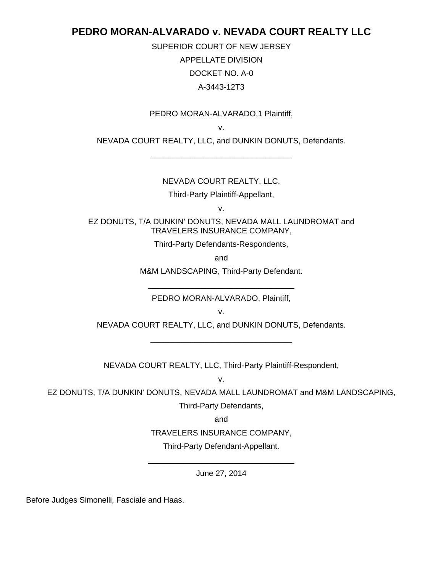## **PEDRO MORAN-ALVARADO v. NEVADA COURT REALTY LLC**

SUPERIOR COURT OF NEW JERSEY APPELLATE DIVISION DOCKET NO. A-0 A-3443-12T3

## PEDRO MORAN-ALVARADO,1 Plaintiff,

v.

NEVADA COURT REALTY, LLC, and DUNKIN DONUTS, Defendants. \_\_\_\_\_\_\_\_\_\_\_\_\_\_\_\_\_\_\_\_\_\_\_\_\_\_\_\_\_\_\_\_

## NEVADA COURT REALTY, LLC,

Third-Party Plaintiff-Appellant,

v.

EZ DONUTS, T/A DUNKIN' DONUTS, NEVADA MALL LAUNDROMAT and TRAVELERS INSURANCE COMPANY,

Third-Party Defendants-Respondents,

and

M&M LANDSCAPING, Third-Party Defendant.

\_\_\_\_\_\_\_\_\_\_\_\_\_\_\_\_\_\_\_\_\_\_\_\_\_\_\_\_\_\_\_\_\_ PEDRO MORAN-ALVARADO, Plaintiff,

v.

NEVADA COURT REALTY, LLC, and DUNKIN DONUTS, Defendants. \_\_\_\_\_\_\_\_\_\_\_\_\_\_\_\_\_\_\_\_\_\_\_\_\_\_\_\_\_\_\_\_

NEVADA COURT REALTY, LLC, Third-Party Plaintiff-Respondent,

v.

EZ DONUTS, T/A DUNKIN' DONUTS, NEVADA MALL LAUNDROMAT and M&M LANDSCAPING, Third-Party Defendants,

and

TRAVELERS INSURANCE COMPANY,

Third-Party Defendant-Appellant.

\_\_\_\_\_\_\_\_\_\_\_\_\_\_\_\_\_\_\_\_\_\_\_\_\_\_\_\_\_\_\_\_\_ June 27, 2014

Before Judges Simonelli, Fasciale and Haas.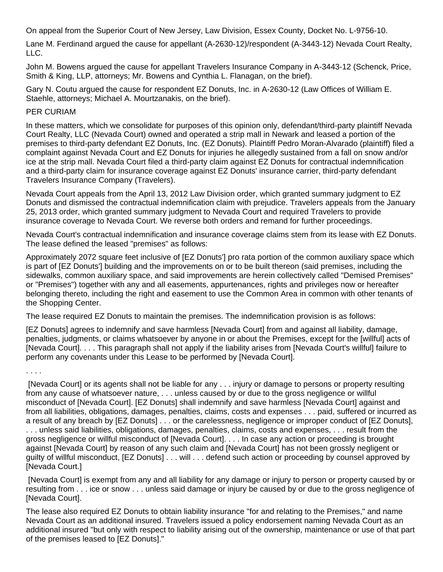On appeal from the Superior Court of New Jersey, Law Division, Essex County, Docket No. L-9756-10.

Lane M. Ferdinand argued the cause for appellant (A-2630-12)/respondent (A-3443-12) Nevada Court Realty, LLC.

John M. Bowens argued the cause for appellant Travelers Insurance Company in A-3443-12 (Schenck, Price, Smith & King, LLP, attorneys; Mr. Bowens and Cynthia L. Flanagan, on the brief).

Gary N. Coutu argued the cause for respondent EZ Donuts, Inc. in A-2630-12 (Law Offices of William E. Staehle, attorneys; Michael A. Mourtzanakis, on the brief).

## PER CURIAM

In these matters, which we consolidate for purposes of this opinion only, defendant/third-party plaintiff Nevada Court Realty, LLC (Nevada Court) owned and operated a strip mall in Newark and leased a portion of the premises to third-party defendant EZ Donuts, Inc. (EZ Donuts). Plaintiff Pedro Moran-Alvarado (plaintiff) filed a complaint against Nevada Court and EZ Donuts for injuries he allegedly sustained from a fall on snow and/or ice at the strip mall. Nevada Court filed a third-party claim against EZ Donuts for contractual indemnification and a third-party claim for insurance coverage against EZ Donuts' insurance carrier, third-party defendant Travelers Insurance Company (Travelers).

Nevada Court appeals from the April 13, 2012 Law Division order, which granted summary judgment to EZ Donuts and dismissed the contractual indemnification claim with prejudice. Travelers appeals from the January 25, 2013 order, which granted summary judgment to Nevada Court and required Travelers to provide insurance coverage to Nevada Court. We reverse both orders and remand for further proceedings.

Nevada Court's contractual indemnification and insurance coverage claims stem from its lease with EZ Donuts. The lease defined the leased "premises" as follows:

Approximately 2072 square feet inclusive of [EZ Donuts'] pro rata portion of the common auxiliary space which is part of [EZ Donuts'] building and the improvements on or to be built thereon (said premises, including the sidewalks, common auxiliary space, and said improvements are herein collectively called "Demised Premises" or "Premises") together with any and all easements, appurtenances, rights and privileges now or hereafter belonging thereto, including the right and easement to use the Common Area in common with other tenants of the Shopping Center.

The lease required EZ Donuts to maintain the premises. The indemnification provision is as follows:

[EZ Donuts] agrees to indemnify and save harmless [Nevada Court] from and against all liability, damage, penalties, judgments, or claims whatsoever by anyone in or about the Premises, except for the [willful] acts of [Nevada Court]. . . . This paragraph shall not apply if the liability arises from [Nevada Court's willful] failure to perform any covenants under this Lease to be performed by [Nevada Court].

. . . .

 [Nevada Court] or its agents shall not be liable for any . . . injury or damage to persons or property resulting from any cause of whatsoever nature, . . . unless caused by or due to the gross negligence or willful misconduct of [Nevada Court]. [EZ Donuts] shall indemnify and save harmless [Nevada Court] against and from all liabilities, obligations, damages, penalties, claims, costs and expenses . . . paid, suffered or incurred as a result of any breach by [EZ Donuts] . . . or the carelessness, negligence or improper conduct of [EZ Donuts], . . . unless said liabilities, obligations, damages, penalties, claims, costs and expenses, . . . result from the gross negligence or willful misconduct of [Nevada Court]. . . . In case any action or proceeding is brought against [Nevada Court] by reason of any such claim and [Nevada Court] has not been grossly negligent or guilty of willful misconduct, [EZ Donuts] . . . will . . . defend such action or proceeding by counsel approved by [Nevada Court.]

 [Nevada Court] is exempt from any and all liability for any damage or injury to person or property caused by or resulting from . . . ice or snow . . . unless said damage or injury be caused by or due to the gross negligence of [Nevada Court].

The lease also required EZ Donuts to obtain liability insurance "for and relating to the Premises," and name Nevada Court as an additional insured. Travelers issued a policy endorsement naming Nevada Court as an additional insured "but only with respect to liability arising out of the ownership, maintenance or use of that part of the premises leased to [EZ Donuts]."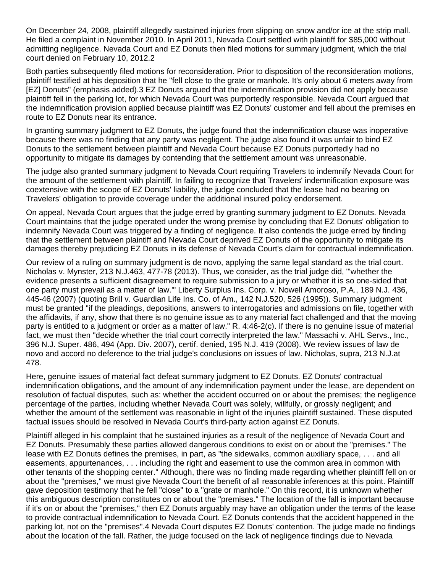On December 24, 2008, plaintiff allegedly sustained injuries from slipping on snow and/or ice at the strip mall. He filed a complaint in November 2010. In April 2011, Nevada Court settled with plaintiff for \$85,000 without admitting negligence. Nevada Court and EZ Donuts then filed motions for summary judgment, which the trial court denied on February 10, 2012.2

Both parties subsequently filed motions for reconsideration. Prior to disposition of the reconsideration motions, plaintiff testified at his deposition that he "fell close to the grate or manhole. It's only about 6 meters away from [EZ] Donuts" (emphasis added).3 EZ Donuts argued that the indemnification provision did not apply because plaintiff fell in the parking lot, for which Nevada Court was purportedly responsible. Nevada Court argued that the indemnification provision applied because plaintiff was EZ Donuts' customer and fell about the premises en route to EZ Donuts near its entrance.

In granting summary judgment to EZ Donuts, the judge found that the indemnification clause was inoperative because there was no finding that any party was negligent. The judge also found it was unfair to bind EZ Donuts to the settlement between plaintiff and Nevada Court because EZ Donuts purportedly had no opportunity to mitigate its damages by contending that the settlement amount was unreasonable.

The judge also granted summary judgment to Nevada Court requiring Travelers to indemnify Nevada Court for the amount of the settlement with plaintiff. In failing to recognize that Travelers' indemnification exposure was coextensive with the scope of EZ Donuts' liability, the judge concluded that the lease had no bearing on Travelers' obligation to provide coverage under the additional insured policy endorsement.

On appeal, Nevada Court argues that the judge erred by granting summary judgment to EZ Donuts. Nevada Court maintains that the judge operated under the wrong premise by concluding that EZ Donuts' obligation to indemnify Nevada Court was triggered by a finding of negligence. It also contends the judge erred by finding that the settlement between plaintiff and Nevada Court deprived EZ Donuts of the opportunity to mitigate its damages thereby prejudicing EZ Donuts in its defense of Nevada Court's claim for contractual indemnification.

Our review of a ruling on summary judgment is de novo, applying the same legal standard as the trial court. Nicholas v. Mynster, 213 N.J.463, 477-78 (2013). Thus, we consider, as the trial judge did, "'whether the evidence presents a sufficient disagreement to require submission to a jury or whether it is so one-sided that one party must prevail as a matter of law.'" Liberty Surplus Ins. Corp. v. Nowell Amoroso, P.A., 189 N.J. 436, 445-46 (2007) (quoting Brill v. Guardian Life Ins. Co. of Am., 142 N.J.520, 526 (1995)). Summary judgment must be granted "if the pleadings, depositions, answers to interrogatories and admissions on file, together with the affidavits, if any, show that there is no genuine issue as to any material fact challenged and that the moving party is entitled to a judgment or order as a matter of law." R. 4:46-2(c). If there is no genuine issue of material fact, we must then "decide whether the trial court correctly interpreted the law." Massachi v. AHL Servs., Inc., 396 N.J. Super. 486, 494 (App. Div. 2007), certif. denied, 195 N.J. 419 (2008). We review issues of law de novo and accord no deference to the trial judge's conclusions on issues of law. Nicholas, supra, 213 N.J.at 478.

Here, genuine issues of material fact defeat summary judgment to EZ Donuts. EZ Donuts' contractual indemnification obligations, and the amount of any indemnification payment under the lease, are dependent on resolution of factual disputes, such as: whether the accident occurred on or about the premises; the negligence percentage of the parties, including whether Nevada Court was solely, willfully, or grossly negligent; and whether the amount of the settlement was reasonable in light of the injuries plaintiff sustained. These disputed factual issues should be resolved in Nevada Court's third-party action against EZ Donuts.

Plaintiff alleged in his complaint that he sustained injuries as a result of the negligence of Nevada Court and EZ Donuts. Presumably these parties allowed dangerous conditions to exist on or about the "premises." The lease with EZ Donuts defines the premises, in part, as "the sidewalks, common auxiliary space, . . . and all easements, appurtenances, . . . including the right and easement to use the common area in common with other tenants of the shopping center." Although, there was no finding made regarding whether plaintiff fell on or about the "premises," we must give Nevada Court the benefit of all reasonable inferences at this point. Plaintiff gave deposition testimony that he fell "close" to a "grate or manhole." On this record, it is unknown whether this ambiguous description constitutes on or about the "premises." The location of the fall is important because if it's on or about the "premises," then EZ Donuts arguably may have an obligation under the terms of the lease to provide contractual indemnification to Nevada Court. EZ Donuts contends that the accident happened in the parking lot, not on the "premises".4 Nevada Court disputes EZ Donuts' contention. The judge made no findings about the location of the fall. Rather, the judge focused on the lack of negligence findings due to Nevada